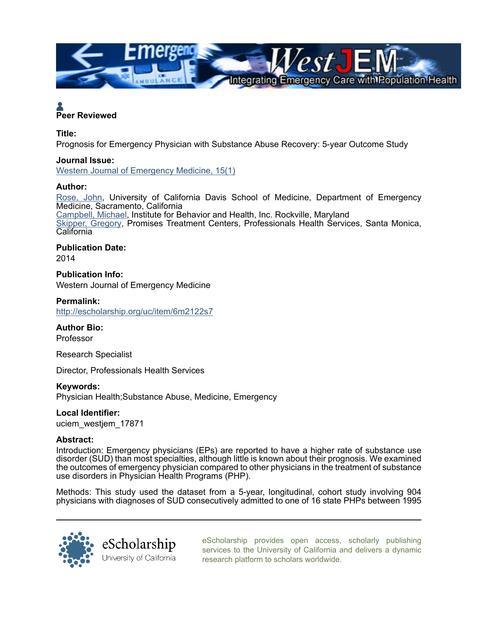

# Peer Reviewed

## Title:

Prognosis for Emergency Physician with Substance Abuse Recovery: 5-year Outcome Study

## Journal Issue:

[Western Journal of Emergency Medicine, 15\(1\)](http://escholarship.org/uc/uciem_westjem?volume=15;issue=1)

## Author:

[Rose, John,](http://escholarship.org/uc/search?creator=Rose%2C%20John) University of California Davis School of Medicine, Department of Emergency Medicine, Sacramento, California [Campbell, Michael](http://escholarship.org/uc/search?creator=Campbell%2C%20Michael), Institute for Behavior and Health, Inc. Rockville, Maryland [Skipper, Gregory,](http://escholarship.org/uc/search?creator=Skipper%2C%20Gregory) Promises Treatment Centers, Professionals Health Services, Santa Monica,

**California** 

## Publication Date:

2014

Publication Info: Western Journal of Emergency Medicine

## Permalink:

<http://escholarship.org/uc/item/6m2122s7>

## Author Bio:

Professor

Research Specialist

Director, Professionals Health Services

## Keywords:

Physician Health;Substance Abuse, Medicine, Emergency

Local Identifier: uciem\_westjem\_17871

## Abstract:

Introduction: Emergency physicians (EPs) are reported to have a higher rate of substance use disorder (SUD) than most specialties, although little is known about their prognosis. We examined the outcomes of emergency physician compared to other physicians in the treatment of substance use disorders in Physician Health Programs (PHP).

Methods: This study used the dataset from a 5-year, longitudinal, cohort study involving 904 physicians with diagnoses of SUD consecutively admitted to one of 16 state PHPs between 1995



[eScholarship provides open access, scholarly publishing](http://escholarship.org) [services to the University of California and delivers a dynamic](http://escholarship.org) [research platform to scholars worldwide.](http://escholarship.org)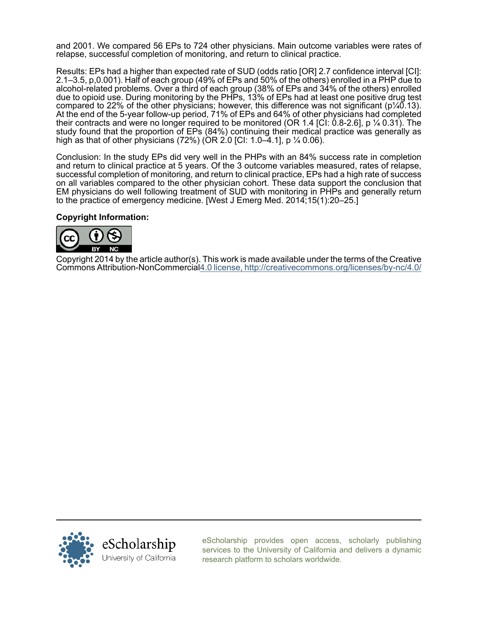and 2001. We compared 56 EPs to 724 other physicians. Main outcome variables were rates of relapse, successful completion of monitoring, and return to clinical practice.

Results: EPs had a higher than expected rate of SUD (odds ratio [OR] 2.7 confidence interval [CI]: 2.1–3.5, p,0.001). Half of each group (49% of EPs and 50% of the others) enrolled in a PHP due to alcohol-related problems. Over a third of each group (38% of EPs and 34% of the others) enrolled due to opioid use. During monitoring by the PHPs, 13% of EPs had at least one positive drug test compared to 22% of the other physicians; however, this difference was not significant ( $p\frac{1}{4}0.13$ ). At the end of the 5-year follow-up period, 71% of EPs and 64% of other physicians had completed their contracts and were no longer required to be monitored (OR 1.4 [CI: 0.8-2.6], p  $\frac{1}{4}$  0.31). The study found that the proportion of EPs (84%) continuing their medical practice was generally as high as that of other physicians (72%) (OR 2.0 [CI: 1.0–4.1], p ¼ 0.06).

Conclusion: In the study EPs did very well in the PHPs with an 84% success rate in completion and return to clinical practice at 5 years. Of the 3 outcome variables measured, rates of relapse, successful completion of monitoring, and return to clinical practice, EPs had a high rate of success on all variables compared to the other physician cohort. These data support the conclusion that EM physicians do well following treatment of SUD with monitoring in PHPs and generally return to the practice of emergency medicine. [West J Emerg Med. 2014;15(1):20–25.]

#### Copyright Information:



Copyright 2014 by the article author(s). This work is made available under the terms of the Creative Commons Attribution-NonCommercia[l4.0 license, http://creativecommons.org/licenses/by-nc/4.0/](http://creativecommons.org/licenses/by-nc/4.0/)



[eScholarship provides open access, scholarly publishing](http://escholarship.org) [services to the University of California and delivers a dynamic](http://escholarship.org) [research platform to scholars worldwide.](http://escholarship.org)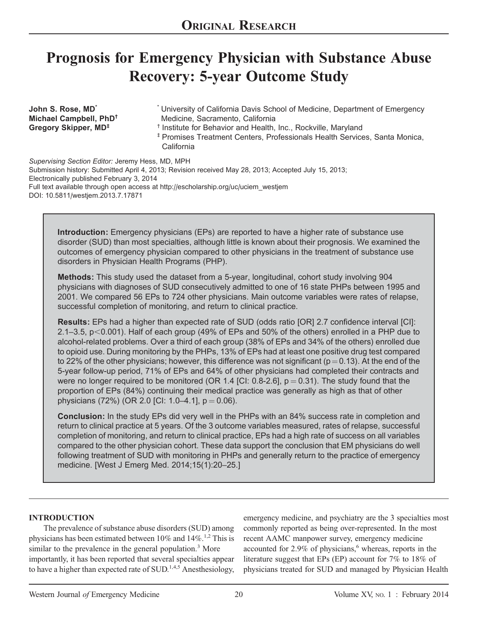## Prognosis for Emergency Physician with Substance Abuse Recovery: 5-year Outcome Study

| John S. Rose, MD*                  | University of California Davis School of Medicine, Department of Emergency            |
|------------------------------------|---------------------------------------------------------------------------------------|
| Michael Campbell, PhD <sup>†</sup> | Medicine, Sacramento, California                                                      |
| Gregory Skipper, MD <sup>‡</sup>   | <sup>†</sup> Institute for Behavior and Health, Inc., Rockville, Maryland             |
|                                    | <sup>‡</sup> Promises Treatment Centers, Professionals Health Services, Santa Monica, |
|                                    | California                                                                            |

Supervising Section Editor: Jeremy Hess, MD, MPH Submission history: Submitted April 4, 2013; Revision received May 28, 2013; Accepted July 15, 2013; Electronically published February 3, 2014 Full text available through open access at http://escholarship.org/uc/uciem\_westjem DOI: 10.5811/westjem.2013.7.17871

Introduction: Emergency physicians (EPs) are reported to have a higher rate of substance use disorder (SUD) than most specialties, although little is known about their prognosis. We examined the outcomes of emergency physician compared to other physicians in the treatment of substance use disorders in Physician Health Programs (PHP).

Methods: This study used the dataset from a 5-year, longitudinal, cohort study involving 904 physicians with diagnoses of SUD consecutively admitted to one of 16 state PHPs between 1995 and 2001. We compared 56 EPs to 724 other physicians. Main outcome variables were rates of relapse, successful completion of monitoring, and return to clinical practice.

Results: EPs had a higher than expected rate of SUD (odds ratio [OR] 2.7 confidence interval [CI]: 2.1–3.5,  $p<0.001$ ). Half of each group (49% of EPs and 50% of the others) enrolled in a PHP due to alcohol-related problems. Over a third of each group (38% of EPs and 34% of the others) enrolled due to opioid use. During monitoring by the PHPs, 13% of EPs had at least one positive drug test compared to 22% of the other physicians; however, this difference was not significant ( $p=0.13$ ). At the end of the 5-year follow-up period, 71% of EPs and 64% of other physicians had completed their contracts and were no longer required to be monitored (OR 1.4 [CI: 0.8-2.6],  $p = 0.31$ ). The study found that the proportion of EPs (84%) continuing their medical practice was generally as high as that of other physicians (72%) (OR 2.0 [CI: 1.0–4.1],  $p = 0.06$ ).

Conclusion: In the study EPs did very well in the PHPs with an 84% success rate in completion and return to clinical practice at 5 years. Of the 3 outcome variables measured, rates of relapse, successful completion of monitoring, and return to clinical practice, EPs had a high rate of success on all variables compared to the other physician cohort. These data support the conclusion that EM physicians do well following treatment of SUD with monitoring in PHPs and generally return to the practice of emergency medicine. [West J Emerg Med. 2014;15(1):20–25.]

## INTRODUCTION

The prevalence of substance abuse disorders (SUD) among physicians has been estimated between 10% and 14%.<sup>1,2</sup> This is similar to the prevalence in the general population.<sup>3</sup> More importantly, it has been reported that several specialties appear to have a higher than expected rate of SUD.<sup>1,4,5</sup> Anesthesiology,

emergency medicine, and psychiatry are the 3 specialties most commonly reported as being over-represented. In the most recent AAMC manpower survey, emergency medicine accounted for  $2.9\%$  of physicians,<sup>6</sup> whereas, reports in the literature suggest that EPs (EP) account for 7% to 18% of physicians treated for SUD and managed by Physician Health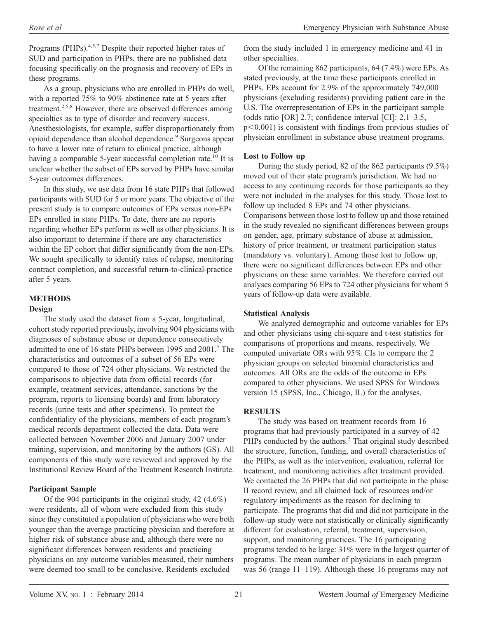Programs (PHPs).<sup>4,5,7</sup> Despite their reported higher rates of SUD and participation in PHPs, there are no published data focusing specifically on the prognosis and recovery of EPs in these programs.

As a group, physicians who are enrolled in PHPs do well, with a reported 75% to 90% abstinence rate at 5 years after treatment.<sup>2,5,8</sup> However, there are observed differences among specialties as to type of disorder and recovery success. Anesthesiologists, for example, suffer disproportionately from opioid dependence than alcohol dependence.<sup>9</sup> Surgeons appear to have a lower rate of return to clinical practice, although having a comparable 5-year successful completion rate.<sup>10</sup> It is unclear whether the subset of EPs served by PHPs have similar 5-year outcomes differences.

In this study, we use data from 16 state PHPs that followed participants with SUD for 5 or more years. The objective of the present study is to compare outcomes of EPs versus non-EPs EPs enrolled in state PHPs. To date, there are no reports regarding whether EPs perform as well as other physicians. It is also important to determine if there are any characteristics within the EP cohort that differ significantly from the non-EPs. We sought specifically to identify rates of relapse, monitoring contract completion, and successful return-to-clinical-practice after 5 years.

## METHODS

#### Design

The study used the dataset from a 5-year, longitudinal, cohort study reported previously, involving 904 physicians with diagnoses of substance abuse or dependence consecutively admitted to one of 16 state PHPs between 1995 and 2001.<sup>5</sup> The characteristics and outcomes of a subset of 56 EPs were compared to those of 724 other physicians. We restricted the comparisons to objective data from official records (for example, treatment services, attendance, sanctions by the program, reports to licensing boards) and from laboratory records (urine tests and other specimens). To protect the confidentiality of the physicians, members of each program's medical records department collected the data. Data were collected between November 2006 and January 2007 under training, supervision, and monitoring by the authors (GS). All components of this study were reviewed and approved by the Institutional Review Board of the Treatment Research Institute.

#### Participant Sample

Of the 904 participants in the original study, 42 (4.6%) were residents, all of whom were excluded from this study since they constituted a population of physicians who were both younger than the average practicing physician and therefore at higher risk of substance abuse and, although there were no significant differences between residents and practicing physicians on any outcome variables measured, their numbers were deemed too small to be conclusive. Residents excluded

from the study included 1 in emergency medicine and 41 in other specialties.

Of the remaining 862 participants, 64 (7.4%) were EPs. As stated previously, at the time these participants enrolled in PHPs, EPs account for 2.9% of the approximately 749,000 physicians (excluding residents) providing patient care in the U.S. The overrepresentation of EPs in the participant sample (odds ratio [OR] 2.7; confidence interval [CI]: 2.1–3.5,  $p<0.001$ ) is consistent with findings from previous studies of physician enrollment in substance abuse treatment programs.

#### Lost to Follow up

During the study period, 82 of the 862 participants (9.5%) moved out of their state program's jurisdiction. We had no access to any continuing records for those participants so they were not included in the analyses for this study. Those lost to follow up included 8 EPs and 74 other physicians. Comparisons between those lost to follow up and those retained in the study revealed no significant differences between groups on gender, age, primary substance of abuse at admission, history of prior treatment, or treatment participation status (mandatory vs. voluntary). Among those lost to follow up, there were no significant differences between EPs and other physicians on these same variables. We therefore carried out analyses comparing 56 EPs to 724 other physicians for whom 5 years of follow-up data were available.

#### Statistical Analysis

We analyzed demographic and outcome variables for EPs and other physicians using chi-square and t-test statistics for comparisons of proportions and means, respectively. We computed univariate ORs with 95% CIs to compare the 2 physician groups on selected binomial characteristics and outcomes. All ORs are the odds of the outcome in EPs compared to other physicians. We used SPSS for Windows version 15 (SPSS, Inc., Chicago, IL) for the analyses.

#### **RESULTS**

The study was based on treatment records from 16 programs that had previously participated in a survey of 42 PHPs conducted by the authors.<sup>5</sup> That original study described the structure, function, funding, and overall characteristics of the PHPs, as well as the intervention, evaluation, referral for treatment, and monitoring activities after treatment provided. We contacted the 26 PHPs that did not participate in the phase II record review, and all claimed lack of resources and/or regulatory impediments as the reason for declining to participate. The programs that did and did not participate in the follow-up study were not statistically or clinically significantly different for evaluation, referral, treatment, supervision, support, and monitoring practices. The 16 participating programs tended to be large: 31% were in the largest quarter of programs. The mean number of physicians in each program was 56 (range 11–119). Although these 16 programs may not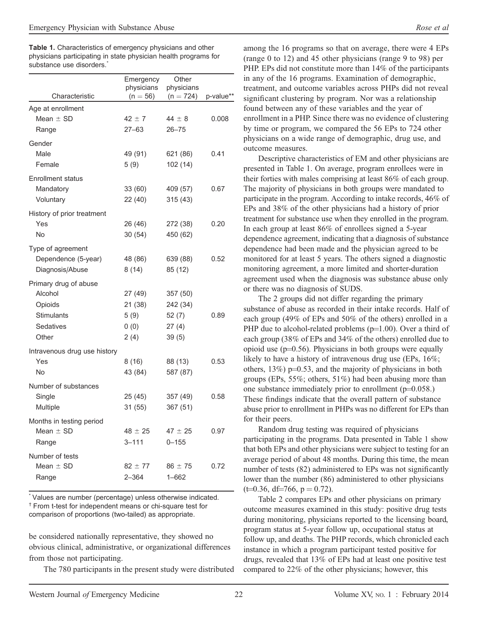| Table 1. Characteristics of emergency physicians and other      |
|-----------------------------------------------------------------|
| physicians participating in state physician health programs for |
| substance use disorders.                                        |

|                              | Emergency<br>physicians | Other<br>physicians |           |
|------------------------------|-------------------------|---------------------|-----------|
| Characteristic               | $(n = 56)$              | $(n = 724)$         | p-value** |
| Age at enrollment            |                         |                     |           |
| Mean $\pm$ SD                | $42 \pm 7$              | $44 \pm 8$          | 0.008     |
| Range                        | $27 - 63$               | $26 - 75$           |           |
| Gender                       |                         |                     |           |
| Male                         | 49 (91)                 | 621 (86)            | 0.41      |
| Female                       | 5(9)                    | 102 (14)            |           |
| <b>Enrollment status</b>     |                         |                     |           |
| Mandatory                    | 33 (60)                 | 409 (57)            | 0.67      |
| Voluntary                    | 22 (40)                 | 315 (43)            |           |
| History of prior treatment   |                         |                     |           |
| Yes                          | 26 (46)                 | 272 (38)            | 0.20      |
| No                           | 30(54)                  | 450 (62)            |           |
| Type of agreement            |                         |                     |           |
| Dependence (5-year)          | 48 (86)                 | 639 (88)            | 0.52      |
| Diagnosis/Abuse              | 8(14)                   | 85 (12)             |           |
| Primary drug of abuse        |                         |                     |           |
| Alcohol                      | 27 (49)                 | 357 (50)            |           |
| Opioids                      | 21 (38)                 | 242 (34)            |           |
| <b>Stimulants</b>            | 5(9)                    | 52(7)               | 0.89      |
| Sedatives                    | 0(0)                    | 27(4)               |           |
| Other                        | 2(4)                    | 39(5)               |           |
| Intravenous drug use history |                         |                     |           |
| Yes                          | 8(16)                   | 88 (13)             | 0.53      |
| No                           | 43 (84)                 | 587 (87)            |           |
| Number of substances         |                         |                     |           |
| Single                       | 25 (45)                 | 357 (49)            | 0.58      |
| Multiple                     | 31 (55)                 | 367 (51)            |           |
| Months in testing period     |                         |                     |           |
| Mean $\pm$ SD                | $48 \pm 25$             | $47 \pm 25$         | 0.97      |
| Range                        | $3 - 111$               | $0 - 155$           |           |
| Number of tests              |                         |                     |           |
| Mean $\pm$ SD                | $82 \pm 77$             | $86 \pm 75$         | 0.72      |
| Range                        | $2 - 364$               | $1 - 662$           |           |
|                              |                         |                     |           |

\* Values are number (percentage) unless otherwise indicated. † From t-test for independent means or chi-square test for comparison of proportions (two-tailed) as appropriate.

be considered nationally representative, they showed no obvious clinical, administrative, or organizational differences from those not participating.

The 780 participants in the present study were distributed

among the 16 programs so that on average, there were 4 EPs (range 0 to 12) and 45 other physicians (range 9 to 98) per PHP. EPs did not constitute more than 14% of the participants in any of the 16 programs. Examination of demographic, treatment, and outcome variables across PHPs did not reveal significant clustering by program. Nor was a relationship found between any of these variables and the year of enrollment in a PHP. Since there was no evidence of clustering by time or program, we compared the 56 EPs to 724 other physicians on a wide range of demographic, drug use, and outcome measures.

Descriptive characteristics of EM and other physicians are presented in Table 1. On average, program enrollees were in their forties with males comprising at least 86% of each group. The majority of physicians in both groups were mandated to participate in the program. According to intake records, 46% of EPs and 38% of the other physicians had a history of prior treatment for substance use when they enrolled in the program. In each group at least 86% of enrollees signed a 5-year dependence agreement, indicating that a diagnosis of substance dependence had been made and the physician agreed to be monitored for at least 5 years. The others signed a diagnostic monitoring agreement, a more limited and shorter-duration agreement used when the diagnosis was substance abuse only or there was no diagnosis of SUDS.

The 2 groups did not differ regarding the primary substance of abuse as recorded in their intake records. Half of each group (49% of EPs and 50% of the others) enrolled in a PHP due to alcohol-related problems  $(p=1.00)$ . Over a third of each group (38% of EPs and 34% of the others) enrolled due to opioid use  $(p=0.56)$ . Physicians in both groups were equally likely to have a history of intravenous drug use (EPs, 16%; others, 13%)  $p=0.53$ , and the majority of physicians in both groups (EPs, 55%; others, 51%) had been abusing more than one substance immediately prior to enrollment  $(p=0.058)$ . These findings indicate that the overall pattern of substance abuse prior to enrollment in PHPs was no different for EPs than for their peers.

Random drug testing was required of physicians participating in the programs. Data presented in Table 1 show that both EPs and other physicians were subject to testing for an average period of about 48 months. During this time, the mean number of tests (82) administered to EPs was not significantly lower than the number (86) administered to other physicians  $(t=0.36, df=766, p = 0.72).$ 

Table 2 compares EPs and other physicians on primary outcome measures examined in this study: positive drug tests during monitoring, physicians reported to the licensing board, program status at 5-year follow up, occupational status at follow up, and deaths. The PHP records, which chronicled each instance in which a program participant tested positive for drugs, revealed that 13% of EPs had at least one positive test compared to 22% of the other physicians; however, this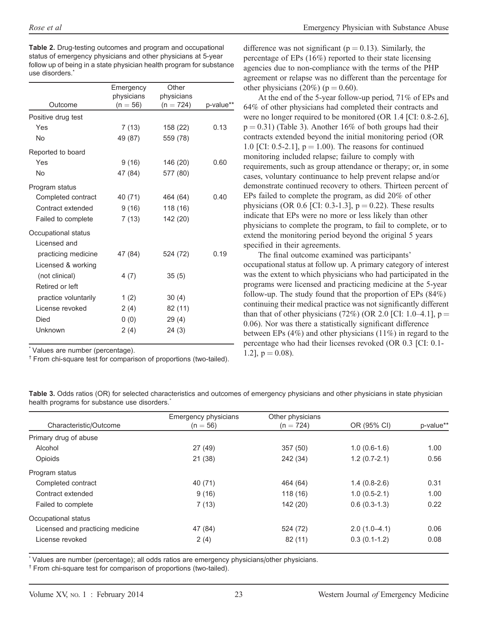| <b>Table 2.</b> Drug-testing outcomes and program and occupational   |
|----------------------------------------------------------------------|
| status of emergency physicians and other physicians at 5-year        |
| follow up of being in a state physician health program for substance |
| use disorders. <sup>*</sup>                                          |

|                                           | Emergency<br>physicians | Other<br>physicians |           |
|-------------------------------------------|-------------------------|---------------------|-----------|
| Outcome                                   | $(n = 56)$              | $(n = 724)$         | p-value** |
| Positive drug test                        |                         |                     |           |
| Yes                                       | 7(13)                   | 158 (22)            | 0.13      |
| No                                        | 49 (87)                 | 559 (78)            |           |
| Reported to board                         |                         |                     |           |
| Yes                                       | 9(16)                   | 146 (20)            | 0.60      |
| No                                        | 47 (84)                 | 577 (80)            |           |
| Program status                            |                         |                     |           |
| Completed contract                        | 40 (71)                 | 464 (64)            | 0.40      |
| Contract extended                         | 9(16)                   | 118 (16)            |           |
| Failed to complete                        | 7(13)                   | 142 (20)            |           |
| Occupational status                       |                         |                     |           |
| Licensed and                              |                         |                     |           |
| practicing medicine<br>Licensed & working | 47 (84)                 | 524 (72)            | 0.19      |
| (not clinical)                            | 4(7)                    | 35(5)               |           |
| Retired or left                           |                         |                     |           |
| practice voluntarily                      | 1 $(2)$                 | 30(4)               |           |
| License revoked                           | 2(4)                    | 82 (11)             |           |
| Died                                      | 0(0)                    | 29(4)               |           |
| Unknown                                   | 2(4)                    | 24 (3)              |           |
|                                           |                         |                     |           |

\* Values are number (percentage).

† From chi-square test for comparison of proportions (two-tailed).

difference was not significant ( $p = 0.13$ ). Similarly, the percentage of EPs (16%) reported to their state licensing agencies due to non-compliance with the terms of the PHP agreement or relapse was no different than the percentage for other physicians (20%) ( $p = 0.60$ ).

At the end of the 5-year follow-up period, 71% of EPs and 64% of other physicians had completed their contracts and were no longer required to be monitored (OR 1.4 [CI: 0.8-2.6],  $p = 0.31$ ) (Table 3). Another 16% of both groups had their contracts extended beyond the initial monitoring period (OR 1.0 [CI: 0.5-2.1],  $p = 1.00$ ). The reasons for continued monitoring included relapse; failure to comply with requirements, such as group attendance or therapy; or, in some cases, voluntary continuance to help prevent relapse and/or demonstrate continued recovery to others. Thirteen percent of EPs failed to complete the program, as did 20% of other physicians (OR 0.6 [CI: 0.3-1.3],  $p = 0.22$ ). These results indicate that EPs were no more or less likely than other physicians to complete the program, to fail to complete, or to extend the monitoring period beyond the original 5 years specified in their agreements.

The final outcome examined was participants' occupational status at follow up. A primary category of interest was the extent to which physicians who had participated in the programs were licensed and practicing medicine at the 5-year follow-up. The study found that the proportion of EPs (84%) continuing their medical practice was not significantly different than that of other physicians (72%) (OR 2.0 [CI: 1.0–4.1],  $p =$ 0.06). Nor was there a statistically significant difference between EPs (4%) and other physicians (11%) in regard to the percentage who had their licenses revoked (OR 0.3 [CI: 0.1- 1.2],  $p = 0.08$ ).

|                                  | Emergency physicians | Other physicians |                |           |
|----------------------------------|----------------------|------------------|----------------|-----------|
| Characteristic/Outcome           | $(n = 56)$           | $(n = 724)$      | OR (95% CI)    | p-value** |
| Primary drug of abuse            |                      |                  |                |           |
| Alcohol                          | 27 (49)              | 357(50)          | $1.0(0.6-1.6)$ | 1.00      |
| Opioids                          | 21 (38)              | 242 (34)         | $1.2(0.7-2.1)$ | 0.56      |
| Program status                   |                      |                  |                |           |
| Completed contract               | 40 (71)              | 464 (64)         | $1.4(0.8-2.6)$ | 0.31      |
| Contract extended                | 9(16)                | 118(16)          | $1.0(0.5-2.1)$ | 1.00      |
| Failed to complete               | 7(13)                | 142 (20)         | $0.6(0.3-1.3)$ | 0.22      |
| Occupational status              |                      |                  |                |           |
| Licensed and practicing medicine | 47 (84)              | 524 (72)         | $2.0(1.0-4.1)$ | 0.06      |
| License revoked                  | 2(4)                 | 82(11)           | $0.3(0.1-1.2)$ | 0.08      |

Table 3. Odds ratios (OR) for selected characteristics and outcomes of emergency physicians and other physicians in state physician health programs for substance use disorders.<sup>\*</sup>

\* Values are number (percentage); all odds ratios are emergency physicians/other physicians.

† From chi-square test for comparison of proportions (two-tailed).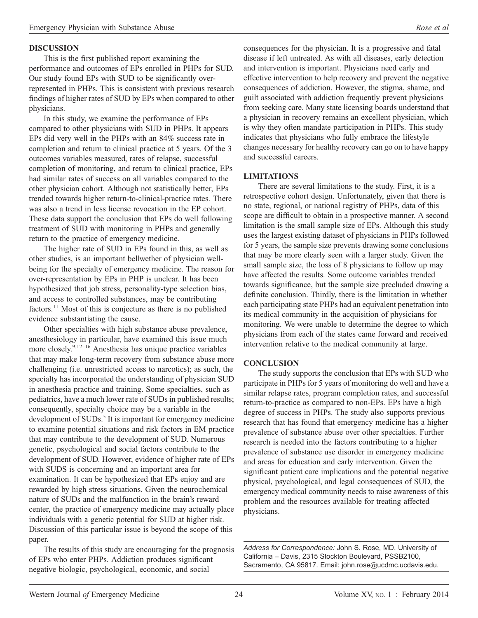#### **DISCUSSION**

This is the first published report examining the performance and outcomes of EPs enrolled in PHPs for SUD. Our study found EPs with SUD to be significantly overrepresented in PHPs. This is consistent with previous research findings of higher rates of SUD by EPs when compared to other physicians.

In this study, we examine the performance of EPs compared to other physicians with SUD in PHPs. It appears EPs did very well in the PHPs with an 84% success rate in completion and return to clinical practice at 5 years. Of the 3 outcomes variables measured, rates of relapse, successful completion of monitoring, and return to clinical practice, EPs had similar rates of success on all variables compared to the other physician cohort. Although not statistically better, EPs trended towards higher return-to-clinical-practice rates. There was also a trend in less license revocation in the EP cohort. These data support the conclusion that EPs do well following treatment of SUD with monitoring in PHPs and generally return to the practice of emergency medicine.

The higher rate of SUD in EPs found in this, as well as other studies, is an important bellwether of physician wellbeing for the specialty of emergency medicine. The reason for over-representation by EPs in PHP is unclear. It has been hypothesized that job stress, personality-type selection bias, and access to controlled substances, may be contributing factors.<sup>11</sup> Most of this is conjecture as there is no published evidence substantiating the cause.

Other specialties with high substance abuse prevalence, anesthesiology in particular, have examined this issue much more closely. $9,12-16$  Anesthesia has unique practice variables that may make long-term recovery from substance abuse more challenging (i.e. unrestricted access to narcotics); as such, the specialty has incorporated the understanding of physician SUD in anesthesia practice and training. Some specialties, such as pediatrics, have a much lower rate of SUDs in published results; consequently, specialty choice may be a variable in the development of SUDs.<sup>5</sup> It is important for emergency medicine to examine potential situations and risk factors in EM practice that may contribute to the development of SUD. Numerous genetic, psychological and social factors contribute to the development of SUD. However, evidence of higher rate of EPs with SUDS is concerning and an important area for examination. It can be hypothesized that EPs enjoy and are rewarded by high stress situations. Given the neurochemical nature of SUDs and the malfunction in the brain's reward center, the practice of emergency medicine may actually place individuals with a genetic potential for SUD at higher risk. Discussion of this particular issue is beyond the scope of this paper.

The results of this study are encouraging for the prognosis of EPs who enter PHPs. Addiction produces significant negative biologic, psychological, economic, and social

consequences for the physician. It is a progressive and fatal disease if left untreated. As with all diseases, early detection and intervention is important. Physicians need early and effective intervention to help recovery and prevent the negative consequences of addiction. However, the stigma, shame, and guilt associated with addiction frequently prevent physicians from seeking care. Many state licensing boards understand that a physician in recovery remains an excellent physician, which is why they often mandate participation in PHPs. This study indicates that physicians who fully embrace the lifestyle changes necessary for healthy recovery can go on to have happy and successful careers.

## LIMITATIONS

There are several limitations to the study. First, it is a retrospective cohort design. Unfortunately, given that there is no state, regional, or national registry of PHPs, data of this scope are difficult to obtain in a prospective manner. A second limitation is the small sample size of EPs. Although this study uses the largest existing dataset of physicians in PHPs followed for 5 years, the sample size prevents drawing some conclusions that may be more clearly seen with a larger study. Given the small sample size, the loss of 8 physicians to follow up may have affected the results. Some outcome variables trended towards significance, but the sample size precluded drawing a definite conclusion. Thirdly, there is the limitation in whether each participating state PHPs had an equivalent penetration into its medical community in the acquisition of physicians for monitoring. We were unable to determine the degree to which physicians from each of the states came forward and received intervention relative to the medical community at large.

#### **CONCLUSION**

The study supports the conclusion that EPs with SUD who participate in PHPs for 5 years of monitoring do well and have a similar relapse rates, program completion rates, and successful return-to-practice as compared to non-EPs. EPs have a high degree of success in PHPs. The study also supports previous research that has found that emergency medicine has a higher prevalence of substance abuse over other specialties. Further research is needed into the factors contributing to a higher prevalence of substance use disorder in emergency medicine and areas for education and early intervention. Given the significant patient care implications and the potential negative physical, psychological, and legal consequences of SUD, the emergency medical community needs to raise awareness of this problem and the resources available for treating affected physicians.

Address for Correspondence: John S. Rose, MD. University of California – Davis, 2315 Stockton Boulevard, PSSB2100, Sacramento, CA 95817. Email: john.rose@ucdmc.ucdavis.edu.